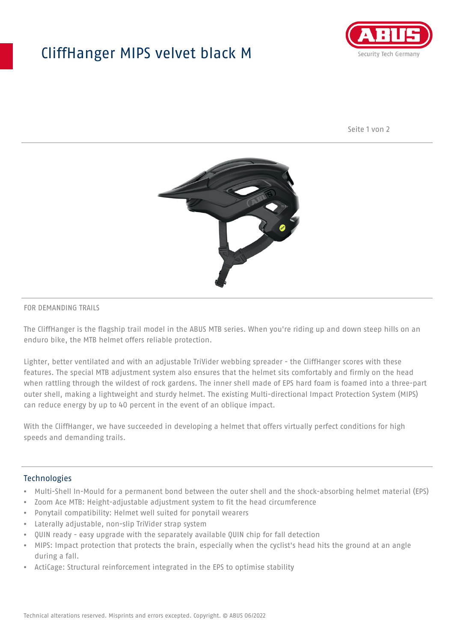## CliffHanger MIPS velvet black M



Seite 1 von 2



#### FOR DEMANDING TRAILS

The CliffHanger is the flagship trail model in the ABUS MTB series. When you're riding up and down steep hills on an enduro bike, the MTB helmet offers reliable protection.

Lighter, better ventilated and with an adjustable TriVider webbing spreader - the CliffHanger scores with these features. The special MTB adjustment system also ensures that the helmet sits comfortably and firmly on the head when rattling through the wildest of rock gardens. The inner shell made of EPS hard foam is foamed into a three-part outer shell, making a lightweight and sturdy helmet. The existing Multi-directional Impact Protection System (MIPS) can reduce energy by up to 40 percent in the event of an oblique impact.

With the CliffHanger, we have succeeded in developing a helmet that offers virtually perfect conditions for high speeds and demanding trails.

#### Technologies

- Multi-Shell In-Mould for a permanent bond between the outer shell and the shock-absorbing helmet material (EPS)
- Zoom Ace MTB: Height-adjustable adjustment system to fit the head circumference
- Ponytail compatibility: Helmet well suited for ponytail wearers
- Laterally adjustable, non-slip TriVider strap system
- QUIN ready easy upgrade with the separately available QUIN chip for fall detection
- MIPS: Impact protection that protects the brain, especially when the cyclist's head hits the ground at an angle during a fall.
- ActiCage: Structural reinforcement integrated in the EPS to optimise stability